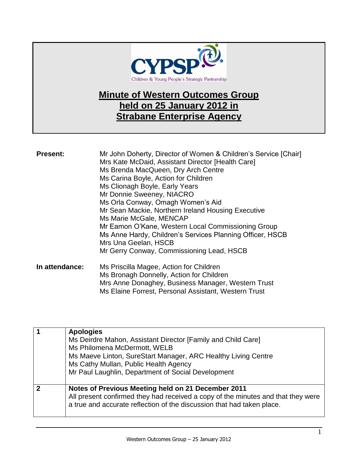

## **Minute of Western Outcomes Group held on 25 January 2012 in Strabane Enterprise Agency**

| <b>Present:</b> | Mr John Doherty, Director of Women & Children's Service [Chair]<br>Mrs Kate McDaid, Assistant Director [Health Care]<br>Ms Brenda MacQueen, Dry Arch Centre<br>Ms Carina Boyle, Action for Children<br>Ms Clionagh Boyle, Early Years<br>Mr Donnie Sweeney, NIACRO<br>Ms Orla Conway, Omagh Women's Aid<br>Mr Sean Mackie, Northern Ireland Housing Executive<br>Ms Marie McGale, MENCAP<br>Mr Eamon O'Kane, Western Local Commissioning Group<br>Ms Anne Hardy, Children's Services Planning Officer, HSCB<br>Mrs Una Geelan, HSCB<br>Mr Gerry Conway, Commissioning Lead, HSCB |
|-----------------|----------------------------------------------------------------------------------------------------------------------------------------------------------------------------------------------------------------------------------------------------------------------------------------------------------------------------------------------------------------------------------------------------------------------------------------------------------------------------------------------------------------------------------------------------------------------------------|
| In attendance:  | Ms Priscilla Magee, Action for Children<br>Ms Bronagh Donnelly, Action for Children                                                                                                                                                                                                                                                                                                                                                                                                                                                                                              |

| $1110$ $\Rightarrow$ $1 \circ 1100$ qui $\Rightarrow$ $0 \circ 1111011$ $\neq$ $1 \circ 11011011$ $\Rightarrow$ $1 \circ 111011011$<br>Mrs Anne Donaghey, Business Manager, Western Trust |
|-------------------------------------------------------------------------------------------------------------------------------------------------------------------------------------------|
|                                                                                                                                                                                           |
| Ms Elaine Forrest, Personal Assistant, Western Trust                                                                                                                                      |
|                                                                                                                                                                                           |
|                                                                                                                                                                                           |

| <b>Apologies</b><br>Ms Deirdre Mahon, Assistant Director [Family and Child Care]<br>Ms Philomena McDermott, WELB<br>Ms Maeve Linton, SureStart Manager, ARC Healthy Living Centre<br>Ms Cathy Mullan, Public Health Agency<br>Mr Paul Laughlin, Department of Social Development |
|----------------------------------------------------------------------------------------------------------------------------------------------------------------------------------------------------------------------------------------------------------------------------------|
| Notes of Previous Meeting held on 21 December 2011<br>All present confirmed they had received a copy of the minutes and that they were<br>a true and accurate reflection of the discussion that had taken place.                                                                 |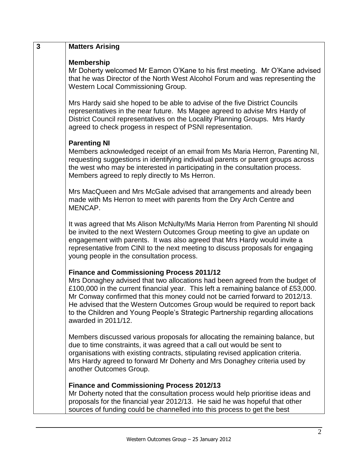| 3 | <b>Matters Arising</b>                                                                                                                                                                                                                                                                                                                                                                                                                                                                        |
|---|-----------------------------------------------------------------------------------------------------------------------------------------------------------------------------------------------------------------------------------------------------------------------------------------------------------------------------------------------------------------------------------------------------------------------------------------------------------------------------------------------|
|   | <b>Membership</b><br>Mr Doherty welcomed Mr Eamon O'Kane to his first meeting. Mr O'Kane advised<br>that he was Director of the North West Alcohol Forum and was representing the<br>Western Local Commissioning Group.                                                                                                                                                                                                                                                                       |
|   | Mrs Hardy said she hoped to be able to advise of the five District Councils<br>representatives in the near future. Ms Magee agreed to advise Mrs Hardy of<br>District Council representatives on the Locality Planning Groups. Mrs Hardy<br>agreed to check progess in respect of PSNI representation.                                                                                                                                                                                        |
|   | <b>Parenting NI</b><br>Members acknowledged receipt of an email from Ms Maria Herron, Parenting NI,<br>requesting suggestions in identifying individual parents or parent groups across<br>the west who may be interested in participating in the consultation process.<br>Members agreed to reply directly to Ms Herron.                                                                                                                                                                     |
|   | Mrs MacQueen and Mrs McGale advised that arrangements and already been<br>made with Ms Herron to meet with parents from the Dry Arch Centre and<br>MENCAP.                                                                                                                                                                                                                                                                                                                                    |
|   | It was agreed that Ms Alison McNulty/Ms Maria Herron from Parenting NI should<br>be invited to the next Western Outcomes Group meeting to give an update on<br>engagement with parents. It was also agreed that Mrs Hardy would invite a<br>representative from CINI to the next meeting to discuss proposals for engaging<br>young people in the consultation process.                                                                                                                       |
|   | <b>Finance and Commissioning Process 2011/12</b><br>Mrs Donaghey advised that two allocations had been agreed from the budget of<br>£100,000 in the current financial year. This left a remaining balance of £53,000.<br>Mr Conway confirmed that this money could not be carried forward to 2012/13.<br>He advised that the Western Outcomes Group would be required to report back<br>to the Children and Young People's Strategic Partnership regarding allocations<br>awarded in 2011/12. |
|   | Members discussed various proposals for allocating the remaining balance, but<br>due to time constraints, it was agreed that a call out would be sent to<br>organisations with existing contracts, stipulating revised application criteria.<br>Mrs Hardy agreed to forward Mr Doherty and Mrs Donaghey criteria used by<br>another Outcomes Group.                                                                                                                                           |
|   | <b>Finance and Commissioning Process 2012/13</b><br>Mr Doherty noted that the consultation process would help prioritise ideas and<br>proposals for the financial year 2012/13. He said he was hopeful that other<br>sources of funding could be channelled into this process to get the best                                                                                                                                                                                                 |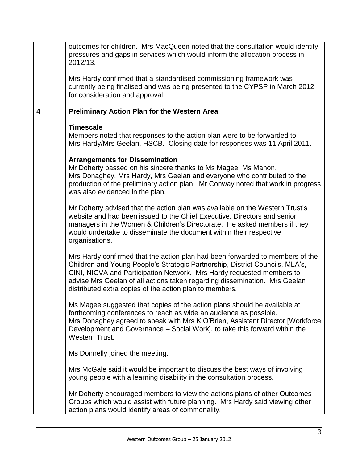|   | outcomes for children. Mrs MacQueen noted that the consultation would identify<br>pressures and gaps in services which would inform the allocation process in<br>2012/13.                                                                                                                                                                                                       |
|---|---------------------------------------------------------------------------------------------------------------------------------------------------------------------------------------------------------------------------------------------------------------------------------------------------------------------------------------------------------------------------------|
|   | Mrs Hardy confirmed that a standardised commissioning framework was<br>currently being finalised and was being presented to the CYPSP in March 2012<br>for consideration and approval.                                                                                                                                                                                          |
| 4 | <b>Preliminary Action Plan for the Western Area</b>                                                                                                                                                                                                                                                                                                                             |
|   | <b>Timescale</b><br>Members noted that responses to the action plan were to be forwarded to<br>Mrs Hardy/Mrs Geelan, HSCB. Closing date for responses was 11 April 2011.                                                                                                                                                                                                        |
|   | <b>Arrangements for Dissemination</b><br>Mr Doherty passed on his sincere thanks to Ms Magee, Ms Mahon,<br>Mrs Donaghey, Mrs Hardy, Mrs Geelan and everyone who contributed to the<br>production of the preliminary action plan. Mr Conway noted that work in progress<br>was also evidenced in the plan.                                                                       |
|   | Mr Doherty advised that the action plan was available on the Western Trust's<br>website and had been issued to the Chief Executive, Directors and senior<br>managers in the Women & Children's Directorate. He asked members if they<br>would undertake to disseminate the document within their respective<br>organisations.                                                   |
|   | Mrs Hardy confirmed that the action plan had been forwarded to members of the<br>Children and Young People's Strategic Partnership, District Councils, MLA's,<br>CINI, NICVA and Participation Network. Mrs Hardy requested members to<br>advise Mrs Geelan of all actions taken regarding dissemination. Mrs Geelan<br>distributed extra copies of the action plan to members. |
|   | Ms Magee suggested that copies of the action plans should be available at<br>forthcoming conferences to reach as wide an audience as possible.<br>Mrs Donaghey agreed to speak with Mrs K O'Brien, Assistant Director [Workforce]<br>Development and Governance – Social Work], to take this forward within the<br><b>Western Trust.</b>                                        |
|   | Ms Donnelly joined the meeting.                                                                                                                                                                                                                                                                                                                                                 |
|   | Mrs McGale said it would be important to discuss the best ways of involving<br>young people with a learning disability in the consultation process.                                                                                                                                                                                                                             |
|   | Mr Doherty encouraged members to view the actions plans of other Outcomes<br>Groups which would assist with future planning. Mrs Hardy said viewing other<br>action plans would identify areas of commonality.                                                                                                                                                                  |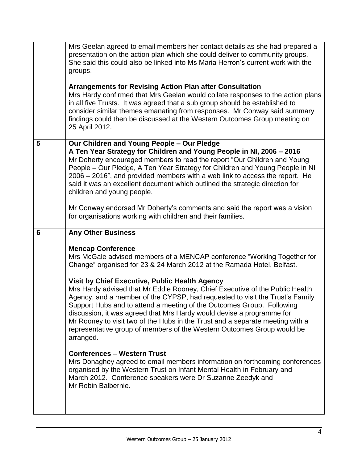|   | Mrs Geelan agreed to email members her contact details as she had prepared a<br>presentation on the action plan which she could deliver to community groups.<br>She said this could also be linked into Ms Maria Herron's current work with the<br>groups.                                                                                                                                                                                                                                                                               |
|---|------------------------------------------------------------------------------------------------------------------------------------------------------------------------------------------------------------------------------------------------------------------------------------------------------------------------------------------------------------------------------------------------------------------------------------------------------------------------------------------------------------------------------------------|
|   | <b>Arrangements for Revising Action Plan after Consultation</b><br>Mrs Hardy confirmed that Mrs Geelan would collate responses to the action plans<br>in all five Trusts. It was agreed that a sub group should be established to<br>consider similar themes emanating from responses. Mr Conway said summary<br>findings could then be discussed at the Western Outcomes Group meeting on<br>25 April 2012.                                                                                                                             |
| 5 | Our Children and Young People - Our Pledge<br>A Ten Year Strategy for Children and Young People in NI, 2006 - 2016<br>Mr Doherty encouraged members to read the report "Our Children and Young<br>People – Our Pledge, A Ten Year Strategy for Children and Young People in NI<br>2006 – 2016", and provided members with a web link to access the report. He<br>said it was an excellent document which outlined the strategic direction for<br>children and young people.                                                              |
|   | Mr Conway endorsed Mr Doherty's comments and said the report was a vision<br>for organisations working with children and their families.                                                                                                                                                                                                                                                                                                                                                                                                 |
|   |                                                                                                                                                                                                                                                                                                                                                                                                                                                                                                                                          |
| 6 | <b>Any Other Business</b>                                                                                                                                                                                                                                                                                                                                                                                                                                                                                                                |
|   | <b>Mencap Conference</b><br>Mrs McGale advised members of a MENCAP conference "Working Together for<br>Change" organised for 23 & 24 March 2012 at the Ramada Hotel, Belfast.                                                                                                                                                                                                                                                                                                                                                            |
|   | Visit by Chief Executive, Public Health Agency<br>Mrs Hardy advised that Mr Eddie Rooney, Chief Executive of the Public Health<br>Agency, and a member of the CYPSP, had requested to visit the Trust's Family<br>Support Hubs and to attend a meeting of the Outcomes Group. Following<br>discussion, it was agreed that Mrs Hardy would devise a programme for<br>Mr Rooney to visit two of the Hubs in the Trust and a separate meeting with a<br>representative group of members of the Western Outcomes Group would be<br>arranged. |
|   | <b>Conferences - Western Trust</b><br>Mrs Donaghey agreed to email members information on forthcoming conferences<br>organised by the Western Trust on Infant Mental Health in February and<br>March 2012. Conference speakers were Dr Suzanne Zeedyk and<br>Mr Robin Balbernie.                                                                                                                                                                                                                                                         |